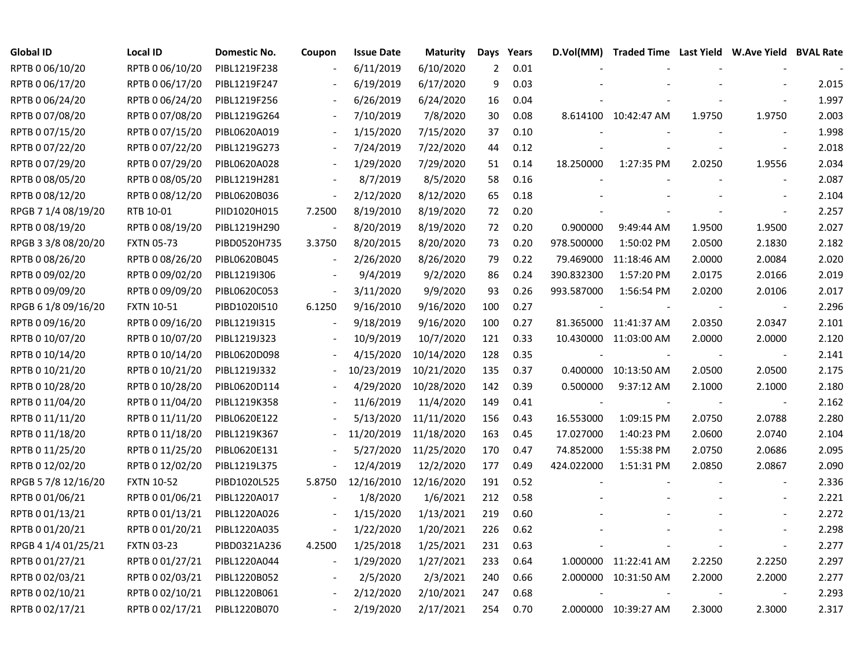| <b>Global ID</b>    | <b>Local ID</b>   | Domestic No. | Coupon                   | <b>Issue Date</b> | <b>Maturity</b> | Days | Years | D.Vol(MM)  |                       |        | Traded Time Last Yield W.Ave Yield BVAL Rate |       |
|---------------------|-------------------|--------------|--------------------------|-------------------|-----------------|------|-------|------------|-----------------------|--------|----------------------------------------------|-------|
| RPTB 0 06/10/20     | RPTB 0 06/10/20   | PIBL1219F238 |                          | 6/11/2019         | 6/10/2020       | 2    | 0.01  |            |                       |        |                                              |       |
| RPTB 0 06/17/20     | RPTB 0 06/17/20   | PIBL1219F247 |                          | 6/19/2019         | 6/17/2020       | 9    | 0.03  |            |                       |        |                                              | 2.015 |
| RPTB 0 06/24/20     | RPTB 0 06/24/20   | PIBL1219F256 |                          | 6/26/2019         | 6/24/2020       | 16   | 0.04  |            |                       |        |                                              | 1.997 |
| RPTB 0 07/08/20     | RPTB 0 07/08/20   | PIBL1219G264 | $\overline{\phantom{a}}$ | 7/10/2019         | 7/8/2020        | 30   | 0.08  |            | 8.614100 10:42:47 AM  | 1.9750 | 1.9750                                       | 2.003 |
| RPTB 0 07/15/20     | RPTB 0 07/15/20   | PIBL0620A019 | $\overline{\phantom{a}}$ | 1/15/2020         | 7/15/2020       | 37   | 0.10  |            |                       |        | $\overline{\phantom{a}}$                     | 1.998 |
| RPTB 0 07/22/20     | RPTB 0 07/22/20   | PIBL1219G273 | $\overline{\phantom{a}}$ | 7/24/2019         | 7/22/2020       | 44   | 0.12  |            |                       |        | $\overline{\phantom{a}}$                     | 2.018 |
| RPTB 0 07/29/20     | RPTB 0 07/29/20   | PIBL0620A028 |                          | 1/29/2020         | 7/29/2020       | 51   | 0.14  | 18.250000  | 1:27:35 PM            | 2.0250 | 1.9556                                       | 2.034 |
| RPTB 0 08/05/20     | RPTB 0 08/05/20   | PIBL1219H281 |                          | 8/7/2019          | 8/5/2020        | 58   | 0.16  |            |                       |        |                                              | 2.087 |
| RPTB 0 08/12/20     | RPTB 0 08/12/20   | PIBL0620B036 | $\overline{\phantom{a}}$ | 2/12/2020         | 8/12/2020       | 65   | 0.18  |            |                       |        |                                              | 2.104 |
| RPGB 7 1/4 08/19/20 | RTB 10-01         | PIID1020H015 | 7.2500                   | 8/19/2010         | 8/19/2020       | 72   | 0.20  |            |                       |        | $\sim$                                       | 2.257 |
| RPTB 0 08/19/20     | RPTB 0 08/19/20   | PIBL1219H290 | $\blacksquare$           | 8/20/2019         | 8/19/2020       | 72   | 0.20  | 0.900000   | 9:49:44 AM            | 1.9500 | 1.9500                                       | 2.027 |
| RPGB 3 3/8 08/20/20 | <b>FXTN 05-73</b> | PIBD0520H735 | 3.3750                   | 8/20/2015         | 8/20/2020       | 73   | 0.20  | 978.500000 | 1:50:02 PM            | 2.0500 | 2.1830                                       | 2.182 |
| RPTB 0 08/26/20     | RPTB 0 08/26/20   | PIBL0620B045 | $\overline{\phantom{a}}$ | 2/26/2020         | 8/26/2020       | 79   | 0.22  | 79.469000  | 11:18:46 AM           | 2.0000 | 2.0084                                       | 2.020 |
| RPTB 0 09/02/20     | RPTB 0 09/02/20   | PIBL1219I306 |                          | 9/4/2019          | 9/2/2020        | 86   | 0.24  | 390.832300 | 1:57:20 PM            | 2.0175 | 2.0166                                       | 2.019 |
| RPTB 0 09/09/20     | RPTB 0 09/09/20   | PIBL0620C053 |                          | 3/11/2020         | 9/9/2020        | 93   | 0.26  | 993.587000 | 1:56:54 PM            | 2.0200 | 2.0106                                       | 2.017 |
| RPGB 6 1/8 09/16/20 | <b>FXTN 10-51</b> | PIBD1020I510 | 6.1250                   | 9/16/2010         | 9/16/2020       | 100  | 0.27  |            |                       |        |                                              | 2.296 |
| RPTB 0 09/16/20     | RPTB 0 09/16/20   | PIBL1219I315 |                          | 9/18/2019         | 9/16/2020       | 100  | 0.27  |            | 81.365000 11:41:37 AM | 2.0350 | 2.0347                                       | 2.101 |
| RPTB 0 10/07/20     | RPTB 0 10/07/20   | PIBL1219J323 | $\overline{\phantom{a}}$ | 10/9/2019         | 10/7/2020       | 121  | 0.33  |            | 10.430000 11:03:00 AM | 2.0000 | 2.0000                                       | 2.120 |
| RPTB 0 10/14/20     | RPTB 0 10/14/20   | PIBL0620D098 |                          | 4/15/2020         | 10/14/2020      | 128  | 0.35  |            |                       |        |                                              | 2.141 |
| RPTB 0 10/21/20     | RPTB 0 10/21/20   | PIBL1219J332 | $\overline{\phantom{0}}$ | 10/23/2019        | 10/21/2020      | 135  | 0.37  |            | 0.400000 10:13:50 AM  | 2.0500 | 2.0500                                       | 2.175 |
| RPTB 0 10/28/20     | RPTB 0 10/28/20   | PIBL0620D114 |                          | 4/29/2020         | 10/28/2020      | 142  | 0.39  | 0.500000   | 9:37:12 AM            | 2.1000 | 2.1000                                       | 2.180 |
| RPTB 0 11/04/20     | RPTB 0 11/04/20   | PIBL1219K358 |                          | 11/6/2019         | 11/4/2020       | 149  | 0.41  |            |                       |        | $\overline{\phantom{a}}$                     | 2.162 |
| RPTB 0 11/11/20     | RPTB 0 11/11/20   | PIBL0620E122 |                          | 5/13/2020         | 11/11/2020      | 156  | 0.43  | 16.553000  | 1:09:15 PM            | 2.0750 | 2.0788                                       | 2.280 |
| RPTB 0 11/18/20     | RPTB 0 11/18/20   | PIBL1219K367 |                          | 11/20/2019        | 11/18/2020      | 163  | 0.45  | 17.027000  | 1:40:23 PM            | 2.0600 | 2.0740                                       | 2.104 |
| RPTB 0 11/25/20     | RPTB 0 11/25/20   | PIBL0620E131 |                          | 5/27/2020         | 11/25/2020      | 170  | 0.47  | 74.852000  | 1:55:38 PM            | 2.0750 | 2.0686                                       | 2.095 |
| RPTB 0 12/02/20     | RPTB 0 12/02/20   | PIBL1219L375 |                          | 12/4/2019         | 12/2/2020       | 177  | 0.49  | 424.022000 | 1:51:31 PM            | 2.0850 | 2.0867                                       | 2.090 |
| RPGB 5 7/8 12/16/20 | <b>FXTN 10-52</b> | PIBD1020L525 | 5.8750                   | 12/16/2010        | 12/16/2020      | 191  | 0.52  |            |                       |        |                                              | 2.336 |
| RPTB 0 01/06/21     | RPTB 0 01/06/21   | PIBL1220A017 |                          | 1/8/2020          | 1/6/2021        | 212  | 0.58  |            |                       |        |                                              | 2.221 |
| RPTB 0 01/13/21     | RPTB 0 01/13/21   | PIBL1220A026 |                          | 1/15/2020         | 1/13/2021       | 219  | 0.60  |            |                       |        |                                              | 2.272 |
| RPTB 0 01/20/21     | RPTB 0 01/20/21   | PIBL1220A035 | $\overline{\phantom{a}}$ | 1/22/2020         | 1/20/2021       | 226  | 0.62  |            |                       |        |                                              | 2.298 |
| RPGB 4 1/4 01/25/21 | <b>FXTN 03-23</b> | PIBD0321A236 | 4.2500                   | 1/25/2018         | 1/25/2021       | 231  | 0.63  |            |                       |        |                                              | 2.277 |
| RPTB 0 01/27/21     | RPTB 0 01/27/21   | PIBL1220A044 | $\blacksquare$           | 1/29/2020         | 1/27/2021       | 233  | 0.64  |            | 1.000000 11:22:41 AM  | 2.2250 | 2.2250                                       | 2.297 |
| RPTB 0 02/03/21     | RPTB 0 02/03/21   | PIBL1220B052 |                          | 2/5/2020          | 2/3/2021        | 240  | 0.66  |            | 2.000000 10:31:50 AM  | 2.2000 | 2.2000                                       | 2.277 |
| RPTB 0 02/10/21     | RPTB 0 02/10/21   | PIBL1220B061 |                          | 2/12/2020         | 2/10/2021       | 247  | 0.68  |            |                       |        |                                              | 2.293 |
| RPTB 0 02/17/21     | RPTB 0 02/17/21   | PIBL1220B070 |                          | 2/19/2020         | 2/17/2021       | 254  | 0.70  |            | 2.000000 10:39:27 AM  | 2.3000 | 2.3000                                       | 2.317 |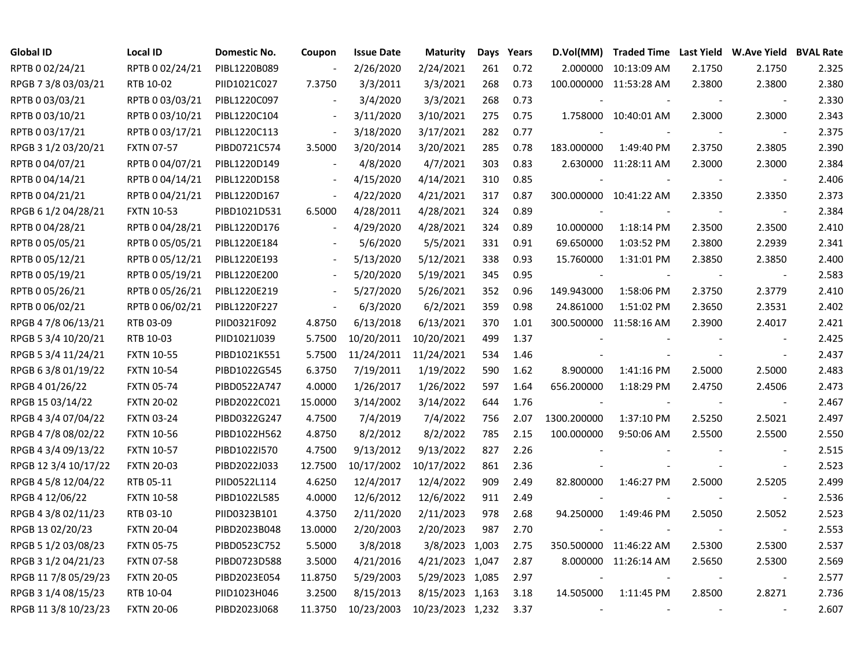| <b>Global ID</b>     | <b>Local ID</b>   | Domestic No. | Coupon                   | <b>Issue Date</b> | <b>Maturity</b>  | Days | Years | D.Vol(MM)                | Traded Time Last Yield W.Ave Yield BVAL Rate |        |                          |       |
|----------------------|-------------------|--------------|--------------------------|-------------------|------------------|------|-------|--------------------------|----------------------------------------------|--------|--------------------------|-------|
| RPTB 0 02/24/21      | RPTB 0 02/24/21   | PIBL1220B089 |                          | 2/26/2020         | 2/24/2021        | 261  | 0.72  |                          | 2.000000 10:13:09 AM                         | 2.1750 | 2.1750                   | 2.325 |
| RPGB 7 3/8 03/03/21  | RTB 10-02         | PIID1021C027 | 7.3750                   | 3/3/2011          | 3/3/2021         | 268  | 0.73  |                          | 100.000000 11:53:28 AM                       | 2.3800 | 2.3800                   | 2.380 |
| RPTB 0 03/03/21      | RPTB 0 03/03/21   | PIBL1220C097 |                          | 3/4/2020          | 3/3/2021         | 268  | 0.73  |                          |                                              |        |                          | 2.330 |
| RPTB 0 03/10/21      | RPTB 0 03/10/21   | PIBL1220C104 | $\blacksquare$           | 3/11/2020         | 3/10/2021        | 275  | 0.75  |                          | 1.758000 10:40:01 AM                         | 2.3000 | 2.3000                   | 2.343 |
| RPTB 0 03/17/21      | RPTB 0 03/17/21   | PIBL1220C113 | $\overline{\phantom{a}}$ | 3/18/2020         | 3/17/2021        | 282  | 0.77  |                          |                                              |        |                          | 2.375 |
| RPGB 3 1/2 03/20/21  | <b>FXTN 07-57</b> | PIBD0721C574 | 3.5000                   | 3/20/2014         | 3/20/2021        | 285  | 0.78  | 183.000000               | 1:49:40 PM                                   | 2.3750 | 2.3805                   | 2.390 |
| RPTB 0 04/07/21      | RPTB 0 04/07/21   | PIBL1220D149 | $\blacksquare$           | 4/8/2020          | 4/7/2021         | 303  | 0.83  |                          | 2.630000 11:28:11 AM                         | 2.3000 | 2.3000                   | 2.384 |
| RPTB 0 04/14/21      | RPTB 0 04/14/21   | PIBL1220D158 |                          | 4/15/2020         | 4/14/2021        | 310  | 0.85  |                          |                                              |        |                          | 2.406 |
| RPTB 0 04/21/21      | RPTB 0 04/21/21   | PIBL1220D167 | $\mathbf{r}$             | 4/22/2020         | 4/21/2021        | 317  | 0.87  |                          | 300.000000 10:41:22 AM                       | 2.3350 | 2.3350                   | 2.373 |
| RPGB 6 1/2 04/28/21  | <b>FXTN 10-53</b> | PIBD1021D531 | 6.5000                   | 4/28/2011         | 4/28/2021        | 324  | 0.89  | $\overline{\phantom{a}}$ |                                              |        | $\overline{\phantom{a}}$ | 2.384 |
| RPTB 0 04/28/21      | RPTB 0 04/28/21   | PIBL1220D176 | $\blacksquare$           | 4/29/2020         | 4/28/2021        | 324  | 0.89  | 10.000000                | 1:18:14 PM                                   | 2.3500 | 2.3500                   | 2.410 |
| RPTB 0 05/05/21      | RPTB 0 05/05/21   | PIBL1220E184 |                          | 5/6/2020          | 5/5/2021         | 331  | 0.91  | 69.650000                | 1:03:52 PM                                   | 2.3800 | 2.2939                   | 2.341 |
| RPTB 0 05/12/21      | RPTB 0 05/12/21   | PIBL1220E193 |                          | 5/13/2020         | 5/12/2021        | 338  | 0.93  | 15.760000                | 1:31:01 PM                                   | 2.3850 | 2.3850                   | 2.400 |
| RPTB 0 05/19/21      | RPTB 0 05/19/21   | PIBL1220E200 |                          | 5/20/2020         | 5/19/2021        | 345  | 0.95  | $\sim$                   |                                              |        |                          | 2.583 |
| RPTB 0 05/26/21      | RPTB 0 05/26/21   | PIBL1220E219 |                          | 5/27/2020         | 5/26/2021        | 352  | 0.96  | 149.943000               | 1:58:06 PM                                   | 2.3750 | 2.3779                   | 2.410 |
| RPTB 0 06/02/21      | RPTB 0 06/02/21   | PIBL1220F227 | $\overline{\phantom{a}}$ | 6/3/2020          | 6/2/2021         | 359  | 0.98  | 24.861000                | 1:51:02 PM                                   | 2.3650 | 2.3531                   | 2.402 |
| RPGB 4 7/8 06/13/21  | RTB 03-09         | PIID0321F092 | 4.8750                   | 6/13/2018         | 6/13/2021        | 370  | 1.01  |                          | 300.500000 11:58:16 AM                       | 2.3900 | 2.4017                   | 2.421 |
| RPGB 5 3/4 10/20/21  | RTB 10-03         | PIID1021J039 | 5.7500                   | 10/20/2011        | 10/20/2021       | 499  | 1.37  |                          |                                              |        |                          | 2.425 |
| RPGB 5 3/4 11/24/21  | <b>FXTN 10-55</b> | PIBD1021K551 | 5.7500                   | 11/24/2011        | 11/24/2021       | 534  | 1.46  |                          |                                              |        | $\overline{\phantom{a}}$ | 2.437 |
| RPGB 6 3/8 01/19/22  | <b>FXTN 10-54</b> | PIBD1022G545 | 6.3750                   | 7/19/2011         | 1/19/2022        | 590  | 1.62  | 8.900000                 | 1:41:16 PM                                   | 2.5000 | 2.5000                   | 2.483 |
| RPGB 4 01/26/22      | <b>FXTN 05-74</b> | PIBD0522A747 | 4.0000                   | 1/26/2017         | 1/26/2022        | 597  | 1.64  | 656.200000               | 1:18:29 PM                                   | 2.4750 | 2.4506                   | 2.473 |
| RPGB 15 03/14/22     | <b>FXTN 20-02</b> | PIBD2022C021 | 15.0000                  | 3/14/2002         | 3/14/2022        | 644  | 1.76  |                          |                                              |        | $\sim$                   | 2.467 |
| RPGB 4 3/4 07/04/22  | <b>FXTN 03-24</b> | PIBD0322G247 | 4.7500                   | 7/4/2019          | 7/4/2022         | 756  | 2.07  | 1300.200000              | 1:37:10 PM                                   | 2.5250 | 2.5021                   | 2.497 |
| RPGB 4 7/8 08/02/22  | <b>FXTN 10-56</b> | PIBD1022H562 | 4.8750                   | 8/2/2012          | 8/2/2022         | 785  | 2.15  | 100.000000               | 9:50:06 AM                                   | 2.5500 | 2.5500                   | 2.550 |
| RPGB 4 3/4 09/13/22  | <b>FXTN 10-57</b> | PIBD1022I570 | 4.7500                   | 9/13/2012         | 9/13/2022        | 827  | 2.26  |                          |                                              |        | $\overline{\phantom{a}}$ | 2.515 |
| RPGB 12 3/4 10/17/22 | <b>FXTN 20-03</b> | PIBD2022J033 | 12.7500                  | 10/17/2002        | 10/17/2022       | 861  | 2.36  |                          |                                              |        | $\overline{\phantom{a}}$ | 2.523 |
| RPGB 4 5/8 12/04/22  | RTB 05-11         | PIID0522L114 | 4.6250                   | 12/4/2017         | 12/4/2022        | 909  | 2.49  | 82.800000                | 1:46:27 PM                                   | 2.5000 | 2.5205                   | 2.499 |
| RPGB 4 12/06/22      | <b>FXTN 10-58</b> | PIBD1022L585 | 4.0000                   | 12/6/2012         | 12/6/2022        | 911  | 2.49  |                          |                                              |        |                          | 2.536 |
| RPGB 4 3/8 02/11/23  | RTB 03-10         | PIID0323B101 | 4.3750                   | 2/11/2020         | 2/11/2023        | 978  | 2.68  | 94.250000                | 1:49:46 PM                                   | 2.5050 | 2.5052                   | 2.523 |
| RPGB 13 02/20/23     | <b>FXTN 20-04</b> | PIBD2023B048 | 13.0000                  | 2/20/2003         | 2/20/2023        | 987  | 2.70  |                          |                                              |        | $\sim$                   | 2.553 |
| RPGB 5 1/2 03/08/23  | <b>FXTN 05-75</b> | PIBD0523C752 | 5.5000                   | 3/8/2018          | 3/8/2023 1,003   |      | 2.75  |                          | 350.500000 11:46:22 AM                       | 2.5300 | 2.5300                   | 2.537 |
| RPGB 3 1/2 04/21/23  | <b>FXTN 07-58</b> | PIBD0723D588 | 3.5000                   | 4/21/2016         | 4/21/2023 1,047  |      | 2.87  |                          | 8.000000 11:26:14 AM                         | 2.5650 | 2.5300                   | 2.569 |
| RPGB 11 7/8 05/29/23 | <b>FXTN 20-05</b> | PIBD2023E054 | 11.8750                  | 5/29/2003         | 5/29/2023 1,085  |      | 2.97  |                          |                                              |        |                          | 2.577 |
| RPGB 3 1/4 08/15/23  | RTB 10-04         | PIID1023H046 | 3.2500                   | 8/15/2013         | 8/15/2023 1,163  |      | 3.18  | 14.505000                | 1:11:45 PM                                   | 2.8500 | 2.8271                   | 2.736 |
| RPGB 11 3/8 10/23/23 | <b>FXTN 20-06</b> | PIBD2023J068 | 11.3750                  | 10/23/2003        | 10/23/2023 1,232 |      | 3.37  | $\sim$                   | $\overline{\phantom{a}}$                     |        |                          | 2.607 |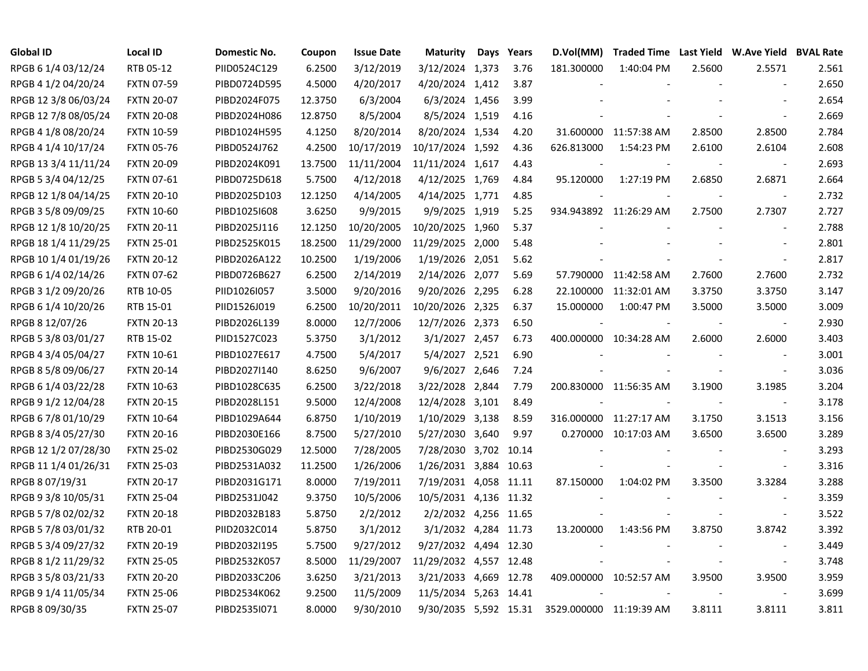| <b>Global ID</b>     | Local ID          | <b>Domestic No.</b> | Coupon  | <b>Issue Date</b> | <b>Maturity</b>        | Days Years | D.Vol(MM)               |                        |                          | Traded Time Last Yield W.Ave Yield BVAL Rate |       |
|----------------------|-------------------|---------------------|---------|-------------------|------------------------|------------|-------------------------|------------------------|--------------------------|----------------------------------------------|-------|
| RPGB 6 1/4 03/12/24  | RTB 05-12         | PIID0524C129        | 6.2500  | 3/12/2019         | 3/12/2024 1,373        | 3.76       | 181.300000              | 1:40:04 PM             | 2.5600                   | 2.5571                                       | 2.561 |
| RPGB 4 1/2 04/20/24  | <b>FXTN 07-59</b> | PIBD0724D595        | 4.5000  | 4/20/2017         | 4/20/2024 1,412        | 3.87       |                         |                        |                          |                                              | 2.650 |
| RPGB 12 3/8 06/03/24 | <b>FXTN 20-07</b> | PIBD2024F075        | 12.3750 | 6/3/2004          | 6/3/2024 1,456         | 3.99       |                         |                        |                          |                                              | 2.654 |
| RPGB 12 7/8 08/05/24 | <b>FXTN 20-08</b> | PIBD2024H086        | 12.8750 | 8/5/2004          | 8/5/2024 1,519         | 4.16       |                         |                        |                          | $\overline{\phantom{a}}$                     | 2.669 |
| RPGB 4 1/8 08/20/24  | <b>FXTN 10-59</b> | PIBD1024H595        | 4.1250  | 8/20/2014         | 8/20/2024 1,534        | 4.20       |                         | 31.600000 11:57:38 AM  | 2.8500                   | 2.8500                                       | 2.784 |
| RPGB 4 1/4 10/17/24  | <b>FXTN 05-76</b> | PIBD0524J762        | 4.2500  | 10/17/2019        | 10/17/2024 1,592       | 4.36       | 626.813000              | 1:54:23 PM             | 2.6100                   | 2.6104                                       | 2.608 |
| RPGB 13 3/4 11/11/24 | <b>FXTN 20-09</b> | PIBD2024K091        | 13.7500 | 11/11/2004        | 11/11/2024 1,617       | 4.43       |                         |                        |                          | $\overline{\phantom{a}}$                     | 2.693 |
| RPGB 5 3/4 04/12/25  | FXTN 07-61        | PIBD0725D618        | 5.7500  | 4/12/2018         | 4/12/2025 1,769        | 4.84       | 95.120000               | 1:27:19 PM             | 2.6850                   | 2.6871                                       | 2.664 |
| RPGB 12 1/8 04/14/25 | <b>FXTN 20-10</b> | PIBD2025D103        | 12.1250 | 4/14/2005         | 4/14/2025 1,771        | 4.85       |                         |                        |                          | $\overline{\phantom{a}}$                     | 2.732 |
| RPGB 3 5/8 09/09/25  | <b>FXTN 10-60</b> | PIBD1025I608        | 3.6250  | 9/9/2015          | 9/9/2025 1,919         | 5.25       |                         | 934.943892 11:26:29 AM | 2.7500                   | 2.7307                                       | 2.727 |
| RPGB 12 1/8 10/20/25 | <b>FXTN 20-11</b> | PIBD2025J116        | 12.1250 | 10/20/2005        | 10/20/2025 1,960       | 5.37       |                         |                        |                          | $\overline{\phantom{a}}$                     | 2.788 |
| RPGB 18 1/4 11/29/25 | <b>FXTN 25-01</b> | PIBD2525K015        | 18.2500 | 11/29/2000        | 11/29/2025 2,000       | 5.48       |                         |                        |                          | $\overline{a}$                               | 2.801 |
| RPGB 10 1/4 01/19/26 | <b>FXTN 20-12</b> | PIBD2026A122        | 10.2500 | 1/19/2006         | 1/19/2026 2,051        | 5.62       |                         |                        |                          | $\blacksquare$                               | 2.817 |
| RPGB 6 1/4 02/14/26  | <b>FXTN 07-62</b> | PIBD0726B627        | 6.2500  | 2/14/2019         | 2/14/2026 2,077        | 5.69       |                         | 57.790000 11:42:58 AM  | 2.7600                   | 2.7600                                       | 2.732 |
| RPGB 3 1/2 09/20/26  | RTB 10-05         | PIID1026I057        | 3.5000  | 9/20/2016         | 9/20/2026 2,295        | 6.28       | 22.100000               | 11:32:01 AM            | 3.3750                   | 3.3750                                       | 3.147 |
| RPGB 6 1/4 10/20/26  | RTB 15-01         | PIID1526J019        | 6.2500  | 10/20/2011        | 10/20/2026 2,325       | 6.37       | 15.000000               | 1:00:47 PM             | 3.5000                   | 3.5000                                       | 3.009 |
| RPGB 8 12/07/26      | <b>FXTN 20-13</b> | PIBD2026L139        | 8.0000  | 12/7/2006         | 12/7/2026 2,373        | 6.50       |                         |                        |                          | $\overline{\phantom{a}}$                     | 2.930 |
| RPGB 5 3/8 03/01/27  | RTB 15-02         | PIID1527C023        | 5.3750  | 3/1/2012          | 3/1/2027 2,457         | 6.73       |                         | 400.000000 10:34:28 AM | 2.6000                   | 2.6000                                       | 3.403 |
| RPGB 4 3/4 05/04/27  | FXTN 10-61        | PIBD1027E617        | 4.7500  | 5/4/2017          | 5/4/2027 2,521         | 6.90       |                         |                        | $\overline{\phantom{a}}$ | $\overline{\phantom{a}}$                     | 3.001 |
| RPGB 8 5/8 09/06/27  | <b>FXTN 20-14</b> | PIBD2027I140        | 8.6250  | 9/6/2007          | 9/6/2027 2,646         | 7.24       |                         |                        |                          | $\overline{\phantom{a}}$                     | 3.036 |
| RPGB 6 1/4 03/22/28  | <b>FXTN 10-63</b> | PIBD1028C635        | 6.2500  | 3/22/2018         | 3/22/2028 2,844        | 7.79       |                         | 200.830000 11:56:35 AM | 3.1900                   | 3.1985                                       | 3.204 |
| RPGB 9 1/2 12/04/28  | <b>FXTN 20-15</b> | PIBD2028L151        | 9.5000  | 12/4/2008         | 12/4/2028 3,101        | 8.49       |                         |                        |                          | $\sim$                                       | 3.178 |
| RPGB 6 7/8 01/10/29  | <b>FXTN 10-64</b> | PIBD1029A644        | 6.8750  | 1/10/2019         | 1/10/2029 3,138        | 8.59       |                         | 316.000000 11:27:17 AM | 3.1750                   | 3.1513                                       | 3.156 |
| RPGB 8 3/4 05/27/30  | <b>FXTN 20-16</b> | PIBD2030E166        | 8.7500  | 5/27/2010         | 5/27/2030 3,640        | 9.97       |                         | 0.270000 10:17:03 AM   | 3.6500                   | 3.6500                                       | 3.289 |
| RPGB 12 1/2 07/28/30 | <b>FXTN 25-02</b> | PIBD2530G029        | 12.5000 | 7/28/2005         | 7/28/2030 3,702 10.14  |            |                         |                        |                          | $\overline{\phantom{a}}$                     | 3.293 |
| RPGB 11 1/4 01/26/31 | <b>FXTN 25-03</b> | PIBD2531A032        | 11.2500 | 1/26/2006         | 1/26/2031 3,884 10.63  |            |                         |                        |                          | $\blacksquare$                               | 3.316 |
| RPGB 8 07/19/31      | <b>FXTN 20-17</b> | PIBD2031G171        | 8.0000  | 7/19/2011         | 7/19/2031 4,058 11.11  |            | 87.150000               | 1:04:02 PM             | 3.3500                   | 3.3284                                       | 3.288 |
| RPGB 9 3/8 10/05/31  | <b>FXTN 25-04</b> | PIBD2531J042        | 9.3750  | 10/5/2006         | 10/5/2031 4,136 11.32  |            |                         |                        |                          |                                              | 3.359 |
| RPGB 5 7/8 02/02/32  | <b>FXTN 20-18</b> | PIBD2032B183        | 5.8750  | 2/2/2012          | 2/2/2032 4,256 11.65   |            |                         |                        |                          | $\overline{\phantom{a}}$                     | 3.522 |
| RPGB 5 7/8 03/01/32  | RTB 20-01         | PIID2032C014        | 5.8750  | 3/1/2012          | 3/1/2032 4,284 11.73   |            | 13.200000               | 1:43:56 PM             | 3.8750                   | 3.8742                                       | 3.392 |
| RPGB 5 3/4 09/27/32  | <b>FXTN 20-19</b> | PIBD2032I195        | 5.7500  | 9/27/2012         | 9/27/2032 4,494 12.30  |            |                         |                        |                          | $\blacksquare$                               | 3.449 |
| RPGB 8 1/2 11/29/32  | <b>FXTN 25-05</b> | PIBD2532K057        | 8.5000  | 11/29/2007        | 11/29/2032 4,557 12.48 |            |                         |                        |                          | $\blacksquare$                               | 3.748 |
| RPGB 3 5/8 03/21/33  | <b>FXTN 20-20</b> | PIBD2033C206        | 3.6250  | 3/21/2013         | 3/21/2033 4,669 12.78  |            |                         | 409.000000 10:52:57 AM | 3.9500                   | 3.9500                                       | 3.959 |
| RPGB 9 1/4 11/05/34  | <b>FXTN 25-06</b> | PIBD2534K062        | 9.2500  | 11/5/2009         | 11/5/2034 5,263 14.41  |            |                         |                        |                          | $\blacksquare$                               | 3.699 |
| RPGB 8 09/30/35      | <b>FXTN 25-07</b> | PIBD2535I071        | 8.0000  | 9/30/2010         | 9/30/2035 5,592 15.31  |            | 3529.000000 11:19:39 AM |                        | 3.8111                   | 3.8111                                       | 3.811 |